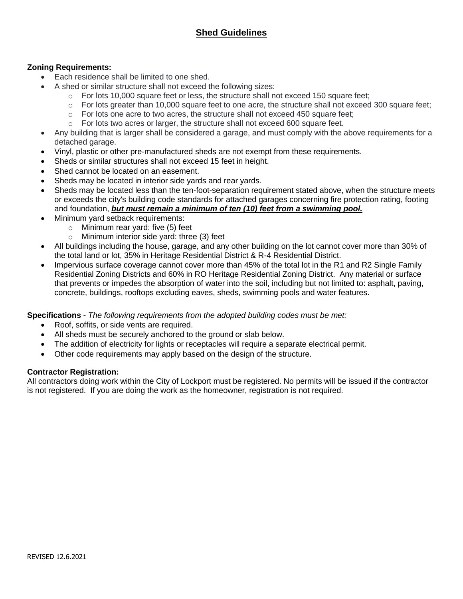## **Shed Guidelines**

### **Zoning Requirements:**

- Each residence shall be limited to one shed.
	- A shed or similar structure shall not exceed the following sizes:
		- $\circ$  For lots 10,000 square feet or less, the structure shall not exceed 150 square feet;
		- $\circ$  For lots greater than 10,000 square feet to one acre, the structure shall not exceed 300 square feet;
		- $\circ$  For lots one acre to two acres, the structure shall not exceed 450 square feet:
		- $\circ$  For lots two acres or larger, the structure shall not exceed 600 square feet.
- Any building that is larger shall be considered a garage, and must comply with the above requirements for a detached garage.
- Vinyl, plastic or other pre-manufactured sheds are not exempt from these requirements.
- Sheds or similar structures shall not exceed 15 feet in height.
- Shed cannot be located on an easement.
- Sheds may be located in interior side yards and rear yards.
- Sheds may be located less than the ten-foot-separation requirement stated above, when the structure meets or exceeds the city's building code standards for attached garages concerning fire protection rating, footing and foundation, *but must remain a minimum of ten (10) feet from a swimming pool.*
- Minimum yard setback requirements:
	- o Minimum rear yard: five (5) feet
	- o Minimum interior side yard: three (3) feet
- All buildings including the house, garage, and any other building on the lot cannot cover more than 30% of the total land or lot, 35% in Heritage Residential District & R-4 Residential District.
- Impervious surface coverage cannot cover more than 45% of the total lot in the R1 and R2 Single Family Residential Zoning Districts and 60% in RO Heritage Residential Zoning District. Any material or surface that prevents or impedes the absorption of water into the soil, including but not limited to: asphalt, paving, concrete, buildings, rooftops excluding eaves, sheds, swimming pools and water features.

#### **Specifications -** *The following requirements from the adopted building codes must be met:*

- Roof, soffits, or side vents are required.
- All sheds must be securely anchored to the ground or slab below.
- The addition of electricity for lights or receptacles will require a separate electrical permit.
- Other code requirements may apply based on the design of the structure.

#### **Contractor Registration:**

All contractors doing work within the City of Lockport must be registered. No permits will be issued if the contractor is not registered. If you are doing the work as the homeowner, registration is not required.